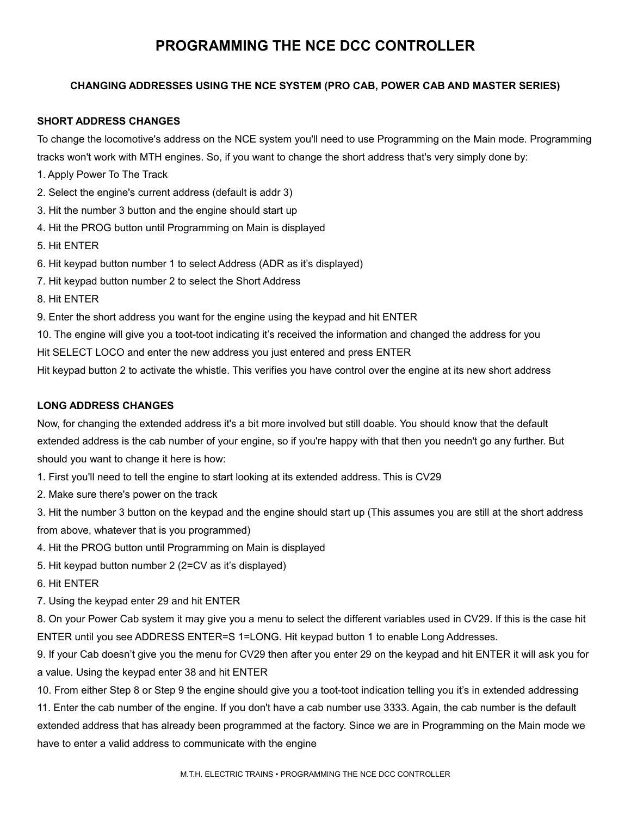# **PROGRAMMING THE NCE DCC CONTROLLER**

# **CHANGING ADDRESSES USING THE NCE SYSTEM (PRO CAB, POWER CAB AND MASTER SERIES)**

## **SHORT ADDRESS CHANGES**

To change the locomotive's address on the NCE system you'll need to use Programming on the Main mode. Programming tracks won't work with MTH engines. So, if you want to change the short address that's very simply done by:

- 1. Apply Power To The Track
- 2. Select the engine's current address (default is addr 3)
- 3. Hit the number 3 button and the engine should start up
- 4. Hit the PROG button until Programming on Main is displayed
- 5. Hit ENTER
- 6. Hit keypad button number 1 to select Address (ADR as it's displayed)
- 7. Hit keypad button number 2 to select the Short Address
- 8. Hit ENTER
- 9. Enter the short address you want for the engine using the keypad and hit ENTER
- 10. The engine will give you a toot-toot indicating it's received the information and changed the address for you
- Hit SELECT LOCO and enter the new address you just entered and press ENTER
- Hit keypad button 2 to activate the whistle. This verifies you have control over the engine at its new short address

### **LONG ADDRESS CHANGES**

Now, for changing the extended address it's a bit more involved but still doable. You should know that the default extended address is the cab number of your engine, so if you're happy with that then you needn't go any further. But should you want to change it here is how:

1. First you'll need to tell the engine to start looking at its extended address. This is CV29

- 2. Make sure there's power on the track
- 3. Hit the number 3 button on the keypad and the engine should start up (This assumes you are still at the short address from above, whatever that is you programmed)
- 4. Hit the PROG button until Programming on Main is displayed
- 5. Hit keypad button number 2 (2=CV as it's displayed)
- 6. Hit ENTER
- 7. Using the keypad enter 29 and hit ENTER

8. On your Power Cab system it may give you a menu to select the different variables used in CV29. If this is the case hit ENTER until you see ADDRESS ENTER=S 1=LONG. Hit keypad button 1 to enable Long Addresses.

9. If your Cab doesn't give you the menu for CV29 then after you enter 29 on the keypad and hit ENTER it will ask you for a value. Using the keypad enter 38 and hit ENTER

10. From either Step 8 or Step 9 the engine should give you a toot-toot indication telling you it's in extended addressing

11. Enter the cab number of the engine. If you don't have a cab number use 3333. Again, the cab number is the default extended address that has already been programmed at the factory. Since we are in Programming on the Main mode we have to enter a valid address to communicate with the engine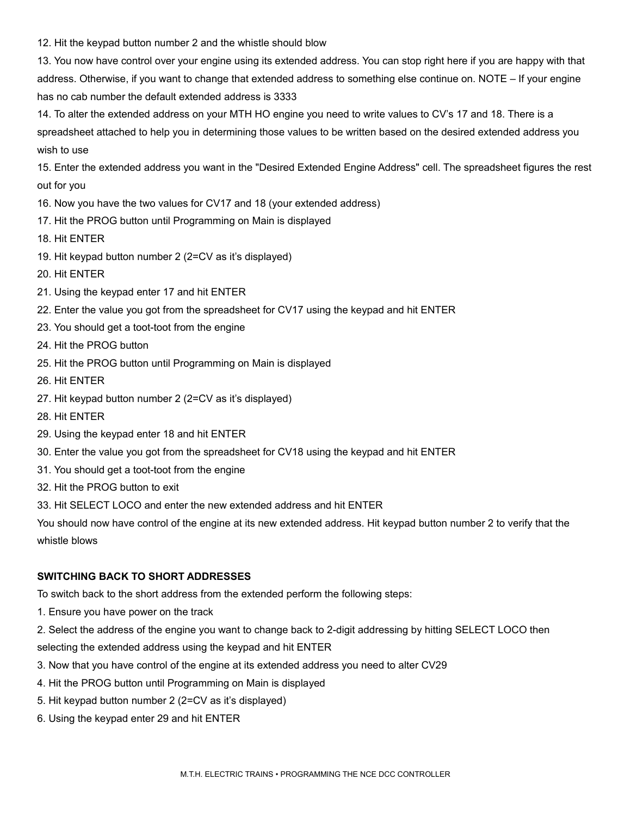12. Hit the keypad button number 2 and the whistle should blow

13. You now have control over your engine using its extended address. You can stop right here if you are happy with that address. Otherwise, if you want to change that extended address to something else continue on. NOTE – If your engine has no cab number the default extended address is 3333

14. To alter the extended address on your MTH HO engine you need to write values to CV's 17 and 18. There is a spreadsheet attached to help you in determining those values to be written based on the desired extended address you wish to use

15. Enter the extended address you want in the "Desired Extended Engine Address" cell. The spreadsheet figures the rest out for you

- 16. Now you have the two values for CV17 and 18 (your extended address)
- 17. Hit the PROG button until Programming on Main is displayed
- 18. Hit ENTER
- 19. Hit keypad button number 2 (2=CV as it's displayed)
- 20. Hit ENTER
- 21. Using the keypad enter 17 and hit ENTER
- 22. Enter the value you got from the spreadsheet for CV17 using the keypad and hit ENTER
- 23. You should get a toot-toot from the engine
- 24. Hit the PROG button
- 25. Hit the PROG button until Programming on Main is displayed
- 26. Hit ENTER
- 27. Hit keypad button number 2 (2=CV as it's displayed)
- 28. Hit ENTER
- 29. Using the keypad enter 18 and hit ENTER
- 30. Enter the value you got from the spreadsheet for CV18 using the keypad and hit ENTER
- 31. You should get a toot-toot from the engine
- 32. Hit the PROG button to exit
- 33. Hit SELECT LOCO and enter the new extended address and hit ENTER

You should now have control of the engine at its new extended address. Hit keypad button number 2 to verify that the whistle blows

### **SWITCHING BACK TO SHORT ADDRESSES**

To switch back to the short address from the extended perform the following steps:

- 1. Ensure you have power on the track
- 2. Select the address of the engine you want to change back to 2-digit addressing by hitting SELECT LOCO then

selecting the extended address using the keypad and hit ENTER

- 3. Now that you have control of the engine at its extended address you need to alter CV29
- 4. Hit the PROG button until Programming on Main is displayed
- 5. Hit keypad button number 2 (2=CV as it's displayed)
- 6. Using the keypad enter 29 and hit ENTER